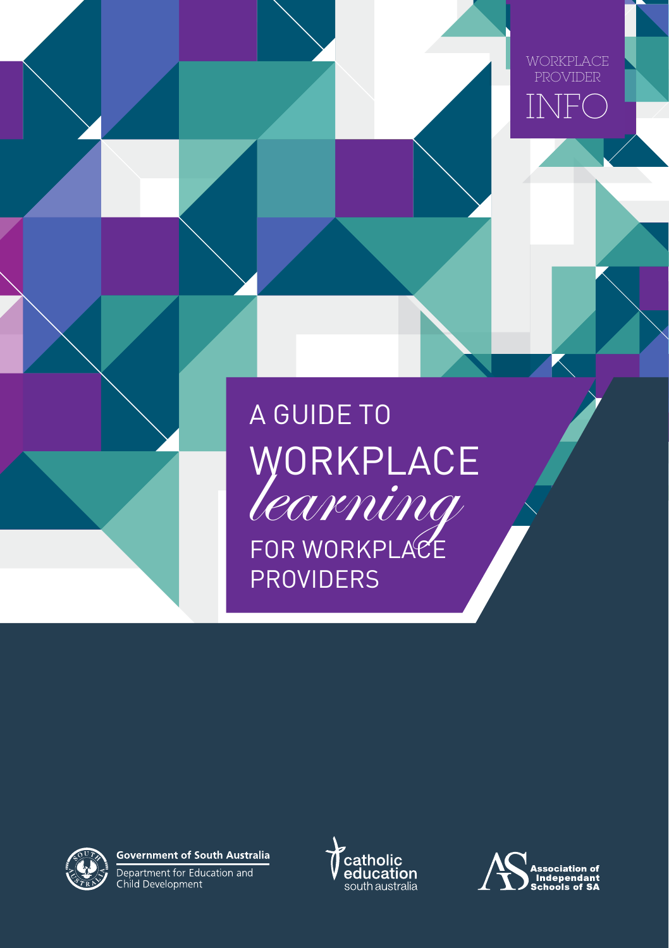

# A GUIDE TO WORKPLACE FOR WORKPLACE **PROVIDERS**



**Government of South Australia** 

Department for Education and<br>Child Development



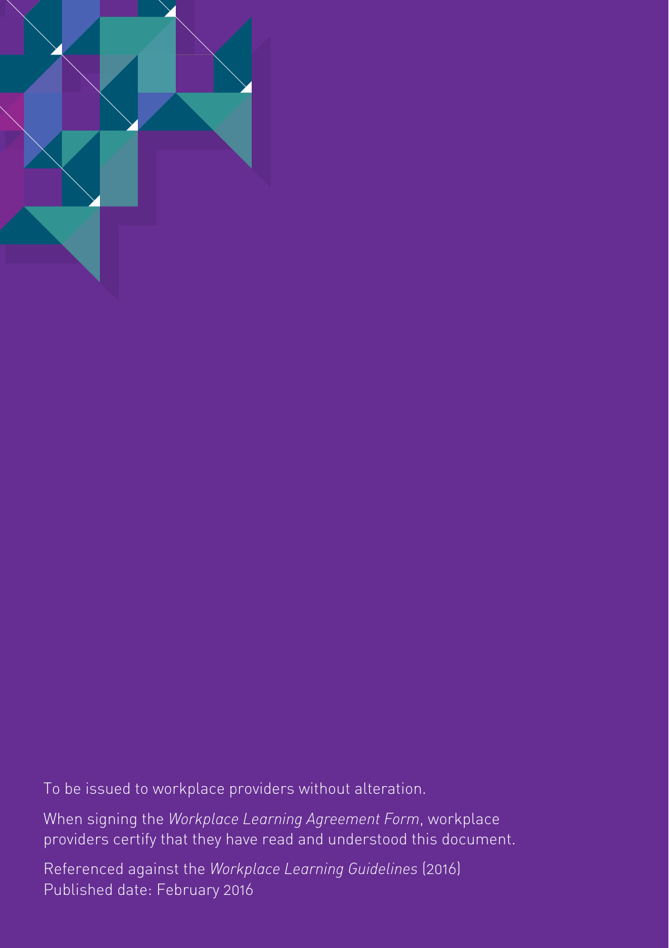

To be issued to workplace providers without alteration.

When signing the *Workplace Learning Agreement Form*, workplace providers certify that they have read and understood this document.

Referenced against the *Workplace Learning Guidelines* (2016) Published date: February 2016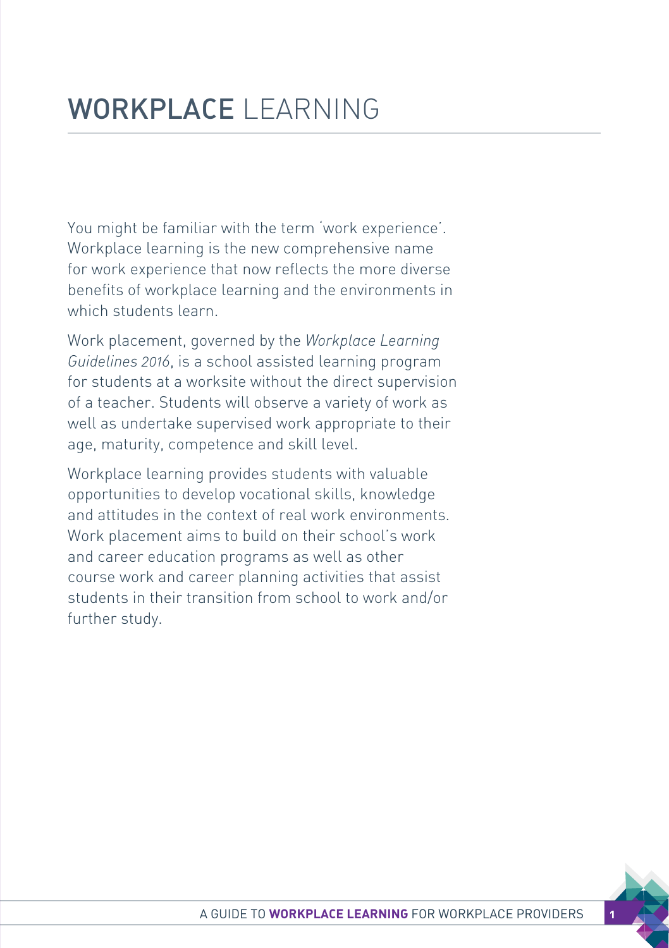You might be familiar with the term 'work experience'. Workplace learning is the new comprehensive name for work experience that now reflects the more diverse benefits of workplace learning and the environments in which students learn.

Work placement, governed by the *Workplace Learning Guidelines 2016*, is a school assisted learning program for students at a worksite without the direct supervision of a teacher. Students will observe a variety of work as well as undertake supervised work appropriate to their age, maturity, competence and skill level.

Workplace learning provides students with valuable opportunities to develop vocational skills, knowledge and attitudes in the context of real work environments. Work placement aims to build on their school's work and career education programs as well as other course work and career planning activities that assist students in their transition from school to work and/or further study.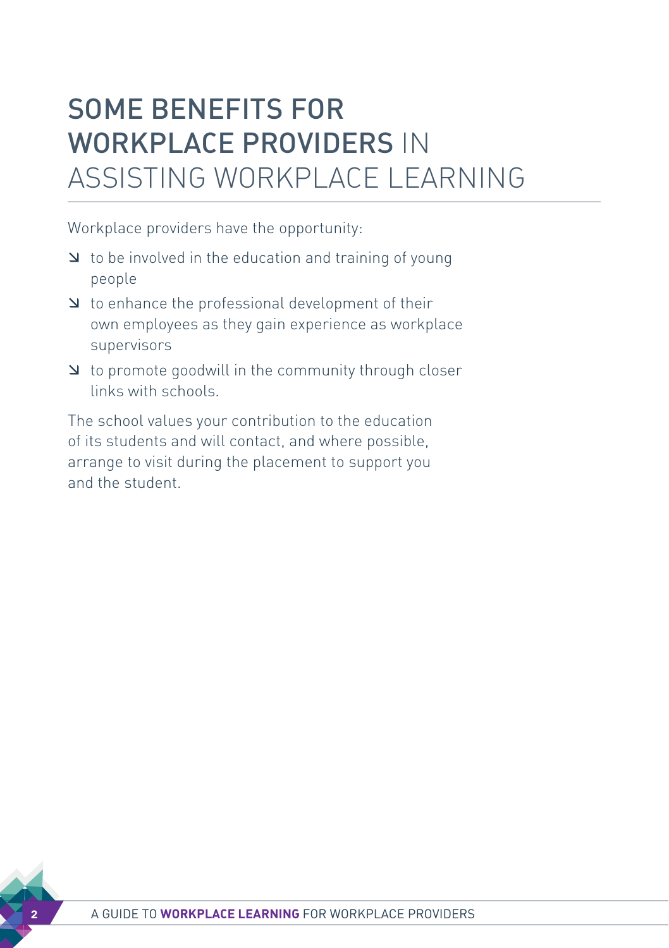# SOME BENEFITS FOR WORKPLACE PROVIDERS IN ASSISTING WORKPLACE LEARNING

Workplace providers have the opportunity:

- $\blacktriangleright$  to be involved in the education and training of young people
- $\Delta$  to enhance the professional development of their own employees as they gain experience as workplace supervisors
- æ to promote goodwill in the community through closer links with schools.

The school values your contribution to the education of its students and will contact, and where possible, arrange to visit during the placement to support you and the student.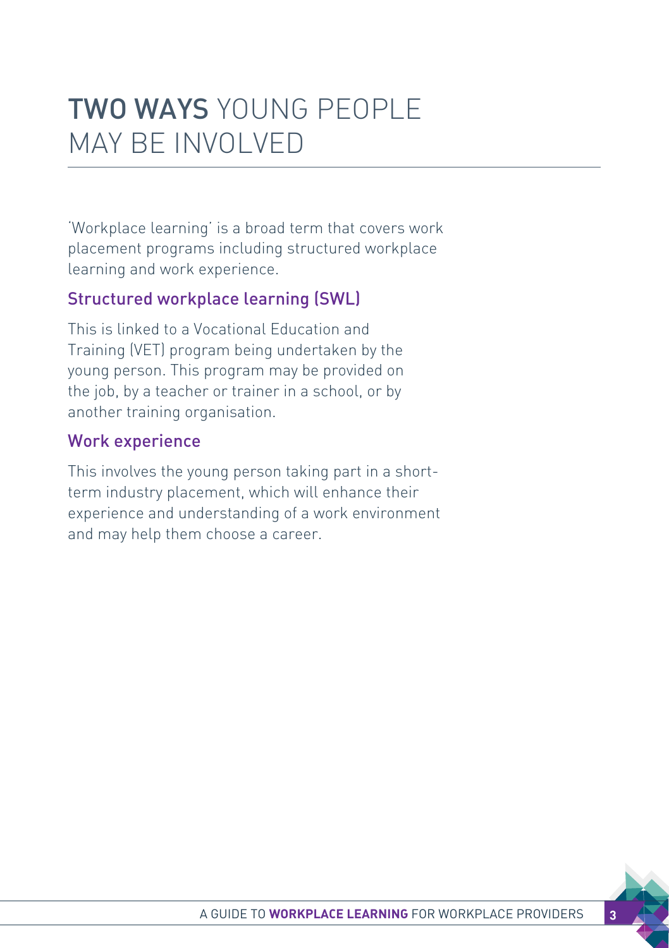# TWO WAYS YOUNG PEOPLE MAY BE INVOLVED

'Workplace learning' is a broad term that covers work placement programs including structured workplace learning and work experience.

## Structured workplace learning (SWL)

This is linked to a Vocational Education and Training (VET) program being undertaken by the young person. This program may be provided on the job, by a teacher or trainer in a school, or by another training organisation.

## Work experience

This involves the young person taking part in a shortterm industry placement, which will enhance their experience and understanding of a work environment and may help them choose a career.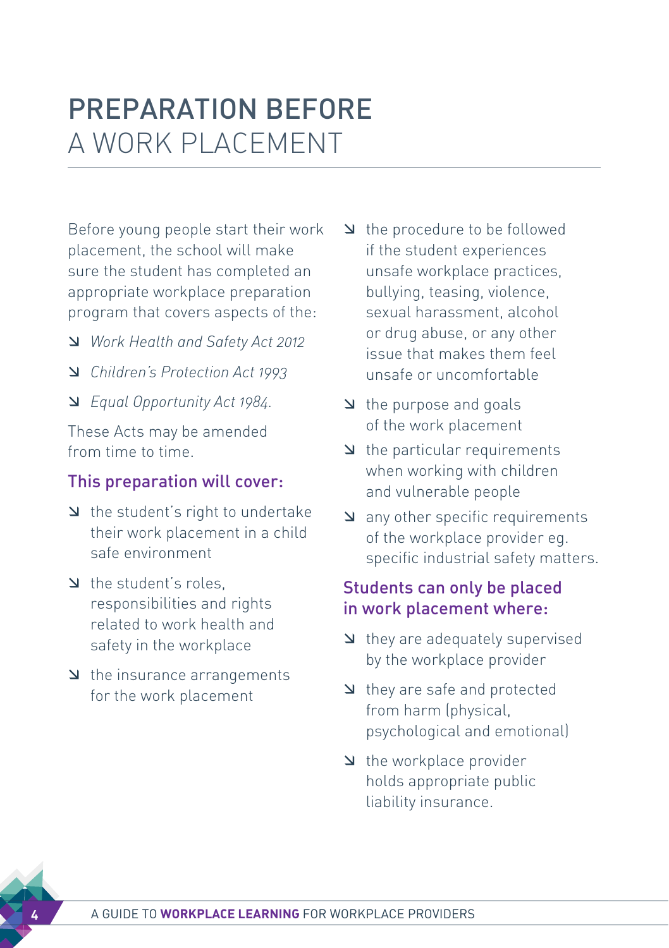# PREPARATION BEFORE A WORK PLACEMENT

Before young people start their work placement, the school will make sure the student has completed an appropriate workplace preparation program that covers aspects of the:

- æ *Work Health and Safety Act 2012*
- æ *Children's Protection Act 1993*
- æ *Equal Opportunity Act 1984.*

These Acts may be amended from time to time.

# This preparation will cover:

- $\Delta$  the student's right to undertake their work placement in a child safe environment
- A the student's roles responsibilities and rights related to work health and safety in the workplace
- $\blacktriangleright$  the insurance arrangements for the work placement
- æ the procedure to be followed if the student experiences unsafe workplace practices, bullying, teasing, violence, sexual harassment, alcohol or drug abuse, or any other issue that makes them feel unsafe or uncomfortable
- æ the purpose and goals of the work placement
- $\blacktriangle$  the particular requirements when working with children and vulnerable people
- $\Delta$  any other specific requirements of the workplace provider eg. specific industrial safety matters.

# Students can only be placed in work placement where:

- $\blacktriangle$  they are adequately supervised by the workplace provider
- $\blacktriangle$  they are safe and protected from harm (physical, psychological and emotional)
- $\blacktriangle$  the workplace provider holds appropriate public liability insurance.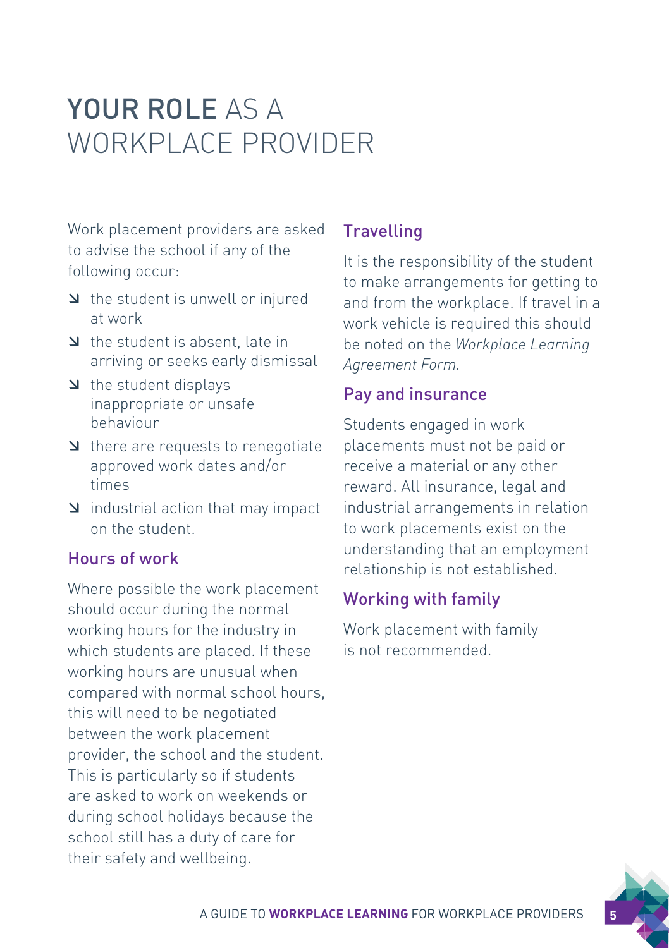# YOUR ROLE AS A WORKPLACE PROVIDER

Work placement providers are asked to advise the school if any of the following occur:

- $\Delta$  the student is unwell or injured at work
- $\Delta$  the student is absent, late in arriving or seeks early dismissal
- $\blacktriangleleft$  the student displays inappropriate or unsafe behaviour
- $\Delta$  there are requests to renegotiate approved work dates and/or times
- $\Delta$  industrial action that may impact on the student.

# Hours of work

Where possible the work placement should occur during the normal working hours for the industry in which students are placed. If these working hours are unusual when compared with normal school hours, this will need to be negotiated between the work placement provider, the school and the student. This is particularly so if students are asked to work on weekends or during school holidays because the school still has a duty of care for their safety and wellbeing.

# **Travelling**

It is the responsibility of the student to make arrangements for getting to and from the workplace. If travel in a work vehicle is required this should be noted on the *Workplace Learning Agreement Form.*

### Pay and insurance

Students engaged in work placements must not be paid or receive a material or any other reward. All insurance, legal and industrial arrangements in relation to work placements exist on the understanding that an employment relationship is not established.

# Working with family

Work placement with family is not recommended.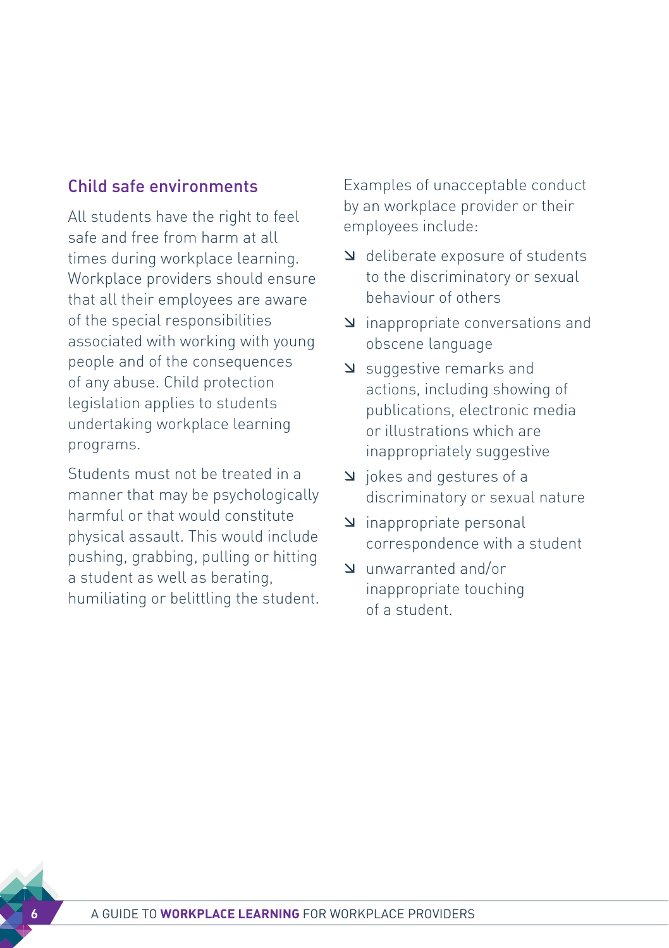### Child safe environments

All students have the right to feel safe and free from harm at all times during workplace learning. Workplace providers should ensure that all their employees are aware of the special responsibilities associated with working with young people and of the consequences of any abuse. Child protection legislation applies to students undertaking workplace learning programs.

Students must not be treated in a manner that may be psychologically harmful or that would constitute physical assault. This would include pushing, grabbing, pulling or hitting a student as well as berating, humiliating or belittling the student.

Examples of unacceptable conduct by an workplace provider or their employees include:

- æ deliberate exposure of students to the discriminatory or sexual behaviour of others
- æ inappropriate conversations and obscene language
- æ suggestive remarks and actions, including showing of publications, electronic media or illustrations which are inappropriately suggestive
- æ jokes and gestures of a discriminatory or sexual nature
- æ inappropriate personal correspondence with a student
- æ unwarranted and/or inappropriate touching of a student.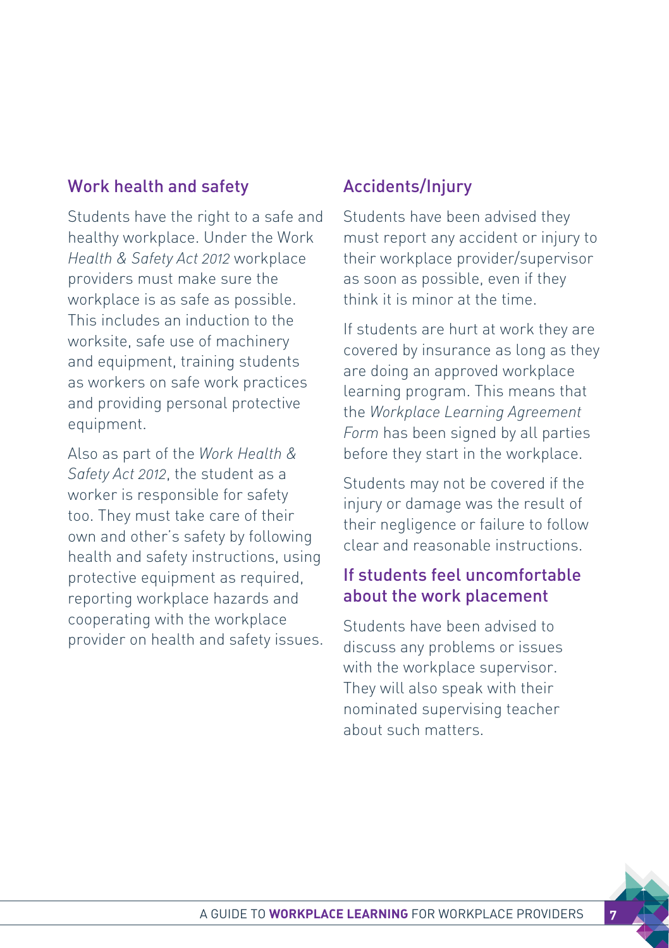### Work health and safety

Students have the right to a safe and healthy workplace. Under the Work *Health & Safety Act 2012* workplace providers must make sure the workplace is as safe as possible. This includes an induction to the worksite, safe use of machinery and equipment, training students as workers on safe work practices and providing personal protective equipment.

Also as part of the *Work Health & Safety Act 2012*, the student as a worker is responsible for safety too. They must take care of their own and other's safety by following health and safety instructions, using protective equipment as required, reporting workplace hazards and cooperating with the workplace provider on health and safety issues.

### Accidents/Injury

Students have been advised they must report any accident or injury to their workplace provider/supervisor as soon as possible, even if they think it is minor at the time.

If students are hurt at work they are covered by insurance as long as they are doing an approved workplace learning program. This means that the *Workplace Learning Agreement Form* has been signed by all parties before they start in the workplace.

Students may not be covered if the injury or damage was the result of their negligence or failure to follow clear and reasonable instructions.

## If students feel uncomfortable about the work placement

Students have been advised to discuss any problems or issues with the workplace supervisor. They will also speak with their nominated supervising teacher about such matters.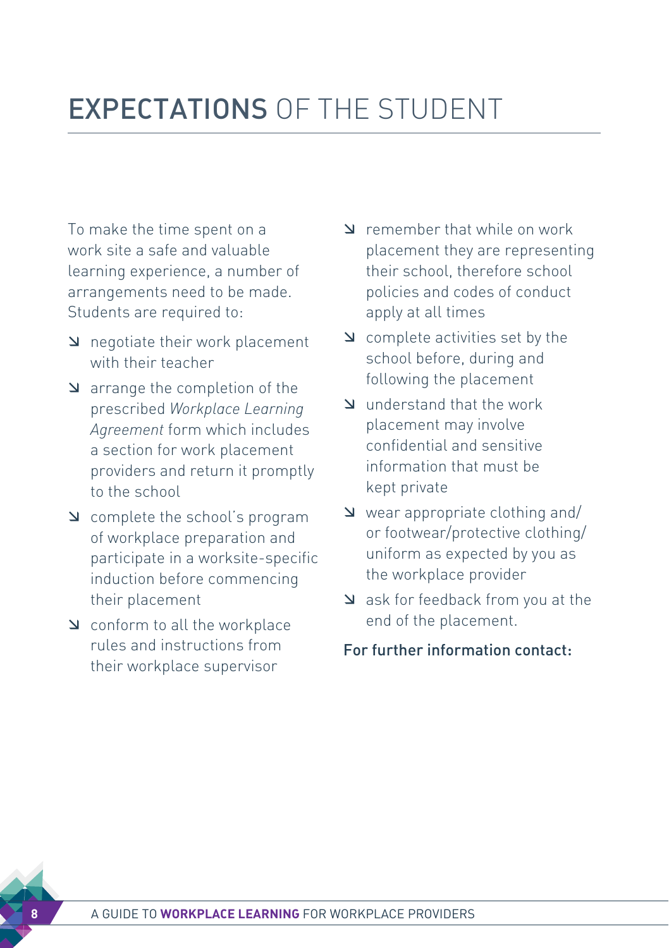# EXPECTATIONS OF THE STUDENT

To make the time spent on a work site a safe and valuable learning experience, a number of arrangements need to be made. Students are required to:

- $\Delta$  negotiate their work placement with their teacher
- $\Delta$  arrange the completion of the prescribed *Workplace Learning Agreement* form which includes a section for work placement providers and return it promptly to the school
- æ complete the school's program of workplace preparation and participate in a worksite-specific induction before commencing their placement
- æ conform to all the workplace rules and instructions from their workplace supervisor
- æ remember that while on work placement they are representing their school, therefore school policies and codes of conduct apply at all times
- $\Delta$  complete activities set by the school before, during and following the placement
- æ understand that the work placement may involve confidential and sensitive information that must be kept private
- $\vee$  wear appropriate clothing and/ or footwear/protective clothing/ uniform as expected by you as the workplace provider
- $\blacktriangle$  ask for feedback from you at the end of the placement.

#### For further information contact: